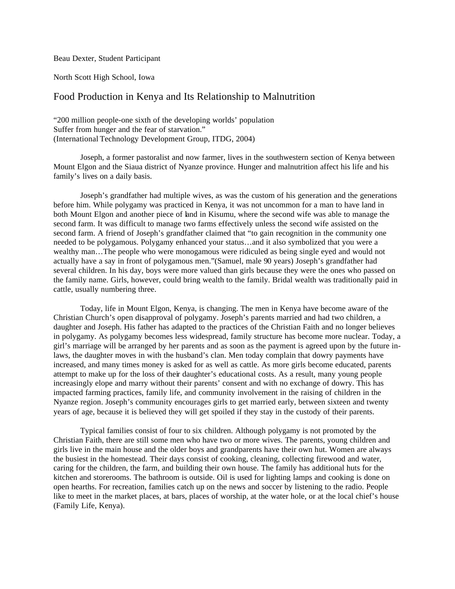Beau Dexter, Student Participant

North Scott High School, Iowa

## Food Production in Kenya and Its Relationship to Malnutrition

"200 million people-one sixth of the developing worlds' population Suffer from hunger and the fear of starvation." (International Technology Development Group, ITDG, 2004)

Joseph, a former pastoralist and now farmer, lives in the southwestern section of Kenya between Mount Elgon and the Siaua district of Nyanze province. Hunger and malnutrition affect his life and his family's lives on a daily basis.

Joseph's grandfather had multiple wives, as was the custom of his generation and the generations before him. While polygamy was practiced in Kenya, it was not uncommon for a man to have land in both Mount Elgon and another piece of land in Kisumu, where the second wife was able to manage the second farm. It was difficult to manage two farms effectively unless the second wife assisted on the second farm. A friend of Joseph's grandfather claimed that "to gain recognition in the community one needed to be polygamous. Polygamy enhanced your status…and it also symbolized that you were a wealthy man…The people who were monogamous were ridiculed as being single eyed and would not actually have a say in front of polygamous men."(Samuel, male 90 years) Joseph's grandfather had several children. In his day, boys were more valued than girls because they were the ones who passed on the family name. Girls, however, could bring wealth to the family. Bridal wealth was traditionally paid in cattle, usually numbering three.

Today, life in Mount Elgon, Kenya, is changing. The men in Kenya have become aware of the Christian Church's open disapproval of polygamy. Joseph's parents married and had two children, a daughter and Joseph. His father has adapted to the practices of the Christian Faith and no longer believes in polygamy. As polygamy becomes less widespread, family structure has become more nuclear. Today, a girl's marriage will be arranged by her parents and as soon as the payment is agreed upon by the future inlaws, the daughter moves in with the husband's clan. Men today complain that dowry payments have increased, and many times money is asked for as well as cattle. As more girls become educated, parents attempt to make up for the loss of their daughter's educational costs. As a result, many young people increasingly elope and marry without their parents' consent and with no exchange of dowry. This has impacted farming practices, family life, and community involvement in the raising of children in the Nyanze region. Joseph's community encourages girls to get married early, between sixteen and twenty years of age, because it is believed they will get spoiled if they stay in the custody of their parents.

Typical families consist of four to six children. Although polygamy is not promoted by the Christian Faith, there are still some men who have two or more wives. The parents, young children and girls live in the main house and the older boys and grandparents have their own hut. Women are always the busiest in the homestead. Their days consist of cooking, cleaning, collecting firewood and water, caring for the children, the farm, and building their own house. The family has additional huts for the kitchen and storerooms. The bathroom is outside. Oil is used for lighting lamps and cooking is done on open hearths. For recreation, families catch up on the news and soccer by listening to the radio. People like to meet in the market places, at bars, places of worship, at the water hole, or at the local chief's house (Family Life, Kenya).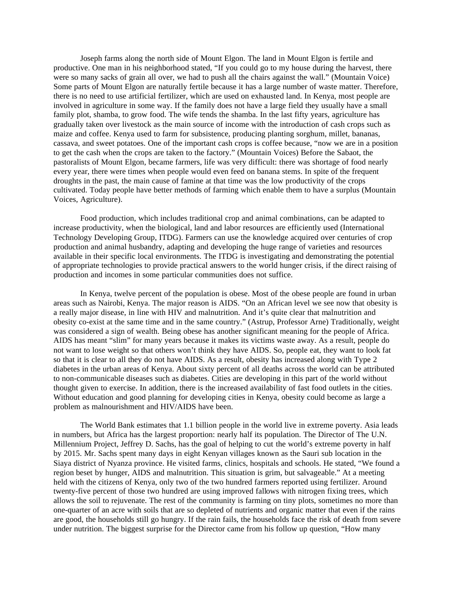Joseph farms along the north side of Mount Elgon. The land in Mount Elgon is fertile and productive. One man in his neighborhood stated, "If you could go to my house during the harvest, there were so many sacks of grain all over, we had to push all the chairs against the wall." (Mountain Voice) Some parts of Mount Elgon are naturally fertile because it has a large number of waste matter. Therefore, there is no need to use artificial fertilizer, which are used on exhausted land. In Kenya, most people are involved in agriculture in some way. If the family does not have a large field they usually have a small family plot, shamba, to grow food. The wife tends the shamba. In the last fifty years, agriculture has gradually taken over livestock as the main source of income with the introduction of cash crops such as maize and coffee. Kenya used to farm for subsistence, producing planting sorghum, millet, bananas, cassava, and sweet potatoes. One of the important cash crops is coffee because, "now we are in a position to get the cash when the crops are taken to the factory." (Mountain Voices) Before the Sabaot, the pastoralists of Mount Elgon, became farmers, life was very difficult: there was shortage of food nearly every year, there were times when people would even feed on banana stems. In spite of the frequent droughts in the past, the main cause of famine at that time was the low productivity of the crops cultivated. Today people have better methods of farming which enable them to have a surplus (Mountain Voices, Agriculture).

Food production, which includes traditional crop and animal combinations, can be adapted to increase productivity, when the biological, land and labor resources are efficiently used (International Technology Developing Group, ITDG). Farmers can use the knowledge acquired over centuries of crop production and animal husbandry, adapting and developing the huge range of varieties and resources available in their specific local environments. The ITDG is investigating and demonstrating the potential of appropriate technologies to provide practical answers to the world hunger crisis, if the direct raising of production and incomes in some particular communities does not suffice.

In Kenya, twelve percent of the population is obese. Most of the obese people are found in urban areas such as Nairobi, Kenya. The major reason is AIDS. "On an African level we see now that obesity is a really major disease, in line with HIV and malnutrition. And it's quite clear that malnutrition and obesity co-exist at the same time and in the same country." (Astrup, Professor Arne) Traditionally, weight was considered a sign of wealth. Being obese has another significant meaning for the people of Africa. AIDS has meant "slim" for many years because it makes its victims waste away. As a result, people do not want to lose weight so that others won't think they have AIDS. So, people eat, they want to look fat so that it is clear to all they do not have AIDS. As a result, obesity has increased along with Type 2 diabetes in the urban areas of Kenya. About sixty percent of all deaths across the world can be attributed to non-communicable diseases such as diabetes. Cities are developing in this part of the world without thought given to exercise. In addition, there is the increased availability of fast food outlets in the cities. Without education and good planning for developing cities in Kenya, obesity could become as large a problem as malnourishment and HIV/AIDS have been.

The World Bank estimates that 1.1 billion people in the world live in extreme poverty. Asia leads in numbers, but Africa has the largest proportion: nearly half its population. The Director of The U.N. Millennium Project, Jeffrey D. Sachs, has the goal of helping to cut the world's extreme poverty in half by 2015. Mr. Sachs spent many days in eight Kenyan villages known as the Sauri sub location in the Siaya district of Nyanza province. He visited farms, clinics, hospitals and schools. He stated, "We found a region beset by hunger, AIDS and malnutrition. This situation is grim, but salvageable." At a meeting held with the citizens of Kenya, only two of the two hundred farmers reported using fertilizer. Around twenty-five percent of those two hundred are using improved fallows with nitrogen fixing trees, which allows the soil to rejuvenate. The rest of the community is farming on tiny plots, sometimes no more than one-quarter of an acre with soils that are so depleted of nutrients and organic matter that even if the rains are good, the households still go hungry. If the rain fails, the households face the risk of death from severe under nutrition. The biggest surprise for the Director came from his follow up question, "How many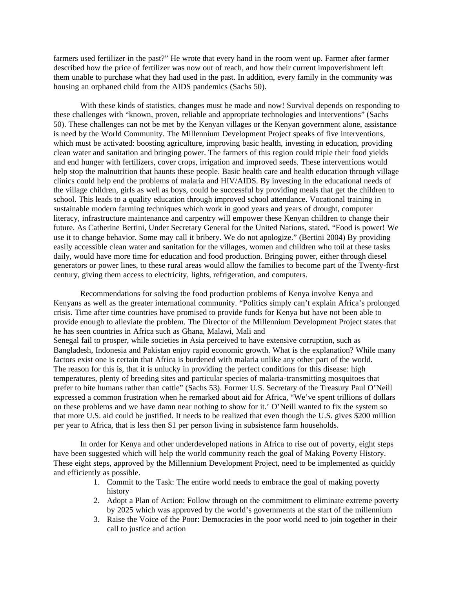farmers used fertilizer in the past?" He wrote that every hand in the room went up. Farmer after farmer described how the price of fertilizer was now out of reach, and how their current impoverishment left them unable to purchase what they had used in the past. In addition, every family in the community was housing an orphaned child from the AIDS pandemics (Sachs 50).

With these kinds of statistics, changes must be made and now! Survival depends on responding to these challenges with "known, proven, reliable and appropriate technologies and interventions" (Sachs 50). These challenges can not be met by the Kenyan villages or the Kenyan government alone, assistance is need by the World Community. The Millennium Development Project speaks of five interventions, which must be activated: boosting agriculture, improving basic health, investing in education, providing clean water and sanitation and bringing power. The farmers of this region could triple their food yields and end hunger with fertilizers, cover crops, irrigation and improved seeds. These interventions would help stop the malnutrition that haunts these people. Basic health care and health education through village clinics could help end the problems of malaria and HIV/AIDS. By investing in the educational needs of the village children, girls as well as boys, could be successful by providing meals that get the children to school. This leads to a quality education through improved school attendance. Vocational training in sustainable modern farming techniques which work in good years and years of drought, computer literacy, infrastructure maintenance and carpentry will empower these Kenyan children to change their future. As Catherine Bertini, Under Secretary General for the United Nations, stated, "Food is power! We use it to change behavior. Some may call it bribery. We do not apologize." (Bertini 2004) By providing easily accessible clean water and sanitation for the villages, women and children who toil at these tasks daily, would have more time for education and food production. Bringing power, either through diesel generators or power lines, to these rural areas would allow the families to become part of the Twenty-first century, giving them access to electricity, lights, refrigeration, and computers.

Recommendations for solving the food production problems of Kenya involve Kenya and Kenyans as well as the greater international community. "Politics simply can't explain Africa's prolonged crisis. Time after time countries have promised to provide funds for Kenya but have not been able to provide enough to alleviate the problem. The Director of the Millennium Development Project states that he has seen countries in Africa such as Ghana, Malawi, Mali and Senegal fail to prosper, while societies in Asia perceived to have extensive corruption, such as Bangladesh, Indonesia and Pakistan enjoy rapid economic growth. What is the explanation? While many factors exist one is certain that Africa is burdened with malaria unlike any other part of the world. The reason for this is, that it is unlucky in providing the perfect conditions for this disease: high temperatures, plenty of breeding sites and particular species of malaria-transmitting mosquitoes that prefer to bite humans rather than cattle" (Sachs 53). Former U.S. Secretary of the Treasury Paul O'Neill expressed a common frustration when he remarked about aid for Africa, "We've spent trillions of dollars on these problems and we have damn near nothing to show for it.' O'Neill wanted to fix the system so that more U.S. aid could be justified. It needs to be realized that even though the U.S. gives \$200 million per year to Africa, that is less then \$1 per person living in subsistence farm households.

In order for Kenya and other underdeveloped nations in Africa to rise out of poverty, eight steps have been suggested which will help the world community reach the goal of Making Poverty History. These eight steps, approved by the Millennium Development Project, need to be implemented as quickly and efficiently as possible.

- 1. Commit to the Task: The entire world needs to embrace the goal of making poverty history
- 2. Adopt a Plan of Action: Follow through on the commitment to eliminate extreme poverty by 2025 which was approved by the world's governments at the start of the millennium
- 3. Raise the Voice of the Poor: Democracies in the poor world need to join together in their call to justice and action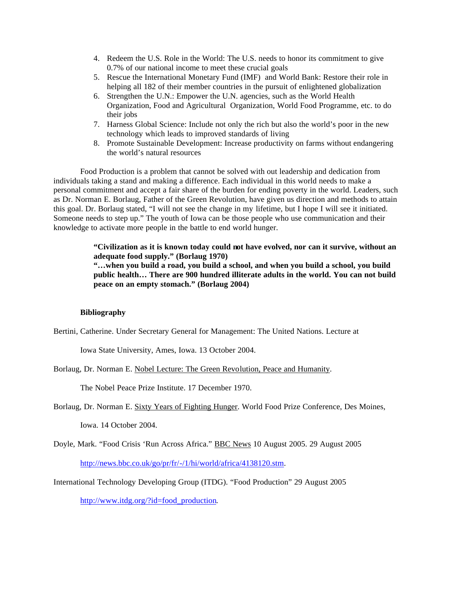- 4. Redeem the U.S. Role in the World: The U.S. needs to honor its commitment to give 0.7% of our national income to meet these crucial goals
- 5. Rescue the International Monetary Fund (IMF) and World Bank: Restore their role in helping all 182 of their member countries in the pursuit of enlightened globalization
- 6. Strengthen the U.N.: Empower the U.N. agencies, such as the World Health Organization, Food and Agricultural Organization, World Food Programme, etc. to do their jobs
- 7. Harness Global Science: Include not only the rich but also the world's poor in the new technology which leads to improved standards of living
- 8. Promote Sustainable Development: Increase productivity on farms without endangering the world's natural resources

Food Production is a problem that cannot be solved with out leadership and dedication from individuals taking a stand and making a difference. Each individual in this world needs to make a personal commitment and accept a fair share of the burden for ending poverty in the world. Leaders, such as Dr. Norman E. Borlaug, Father of the Green Revolution, have given us direction and methods to attain this goal. Dr. Borlaug stated, "I will not see the change in my lifetime, but I hope I will see it initiated. Someone needs to step up." The youth of Iowa can be those people who use communication and their knowledge to activate more people in the battle to end world hunger.

> **"Civilization as it is known today could not have evolved, nor can it survive, without an adequate food supply." (Borlaug 1970)**

> **"…when you build a road, you build a school, and when you build a school, you build public health… There are 900 hundred illiterate adults in the world. You can not build peace on an empty stomach." (Borlaug 2004)**

## **Bibliography**

Bertini, Catherine. Under Secretary General for Management: The United Nations. Lecture at

Iowa State University, Ames, Iowa. 13 October 2004.

Borlaug, Dr. Norman E. Nobel Lecture: The Green Revolution, Peace and Humanity.

The Nobel Peace Prize Institute. 17 December 1970.

Borlaug, Dr. Norman E. Sixty Years of Fighting Hunger. World Food Prize Conference, Des Moines,

Iowa. 14 October 2004.

Doyle, Mark. "Food Crisis 'Run Across Africa." BBC News 10 August 2005. 29 August 2005 http://news.bbc.co.uk/go/pr/fr/-/1/hi/world/africa/4138120.stm.

International Technology Developing Group (ITDG). "Food Production" 29 August 2005

http://www.itdg.org/?id=food\_production.